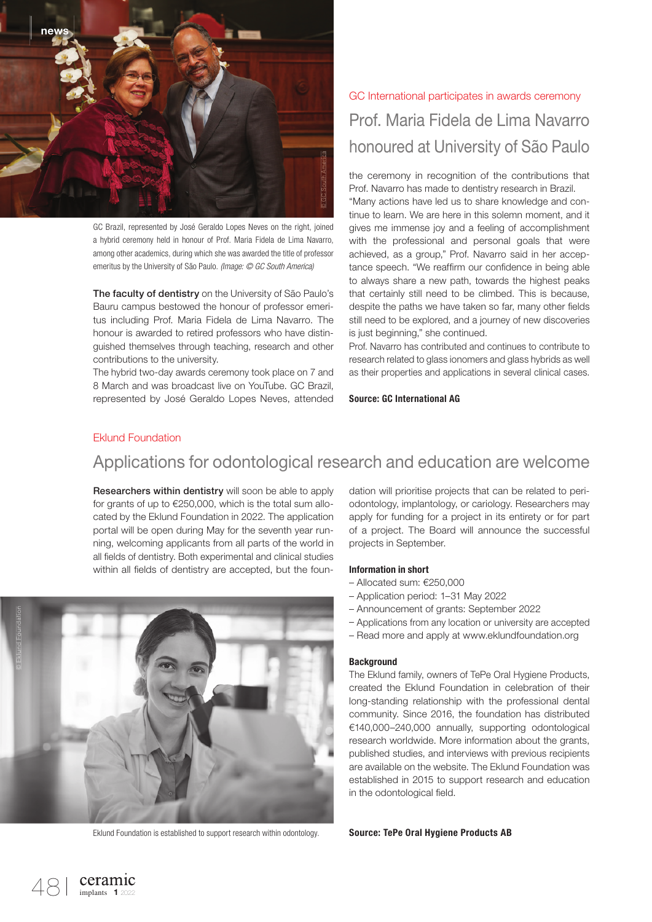

GC Brazil, represented by José Geraldo Lopes Neves on the right, joined a hybrid ceremony held in honour of Prof. Maria Fidela de Lima Navarro, among other academics, during which she was awarded the title of professor emeritus by the University of São Paulo. *(Image: © GC South America)*

The faculty of dentistry on the University of São Paulo's Bauru campus bestowed the honour of professor emeritus including Prof. Maria Fidela de Lima Navarro. The honour is awarded to retired professors who have distinguished themselves through teaching, research and other contributions to the university.

The hybrid two-day awards ceremony took place on 7 and 8 March and was broadcast live on YouTube. GC Brazil, represented by José Geraldo Lopes Neves, attended

# GC International participates in awards ceremony Prof. Maria Fidela de Lima Navarro honoured at University of São Paulo

the ceremony in recognition of the contributions that Prof. Navarro has made to dentistry research in Brazil.

"Many actions have led us to share knowledge and continue to learn. We are here in this solemn moment, and it gives me immense joy and a feeling of accomplishment with the professional and personal goals that were achieved, as a group," Prof. Navarro said in her acceptance speech. "We reaffirm our confidence in being able to always share a new path, towards the highest peaks that certainly still need to be climbed. This is because, despite the paths we have taken so far, many other fields still need to be explored, and a journey of new discoveries is just beginning," she continued.

Prof. Navarro has contributed and continues to contribute to research related to glass ionomers and glass hybrids as well as their properties and applications in several clinical cases.

Source: GC International AG

### Eklund Foundation

### Applications for odontological research and education are welcome

Researchers within dentistry will soon be able to apply for grants of up to €250,000, which is the total sum allocated by the Eklund Foundation in 2022. The application portal will be open during May for the seventh year running, welcoming applicants from all parts of the world in all fields of dentistry. Both experimental and clinical studies within all fields of dentistry are accepted, but the foun-



Eklund Foundation is established to support research within odontology. **Source: TePe Oral Hygiene Products AB** 

dation will prioritise projects that can be related to periodontology, implantology, or cariology. Researchers may apply for funding for a project in its entirety or for part of a project. The Board will announce the successful projects in September.

#### Information in short

- Allocated sum: €250,000
- Application period: 1–31 May 2022
- Announcement of grants: September 2022
- Applications from any location or university are accepted
- Read more and apply at www.eklundfoundation.org

#### **Background**

The Eklund family, owners of TePe Oral Hygiene Products, created the Eklund Foundation in celebration of their long-standing relationship with the professional dental community. Since 2016, the foundation has distributed €140,000–240,000 annually, supporting odontological research worldwide. More information about the grants, published studies, and interviews with previous recipients are available on the website. The Eklund Foundation was established in 2015 to support research and education in the odontological field.

Ceramic